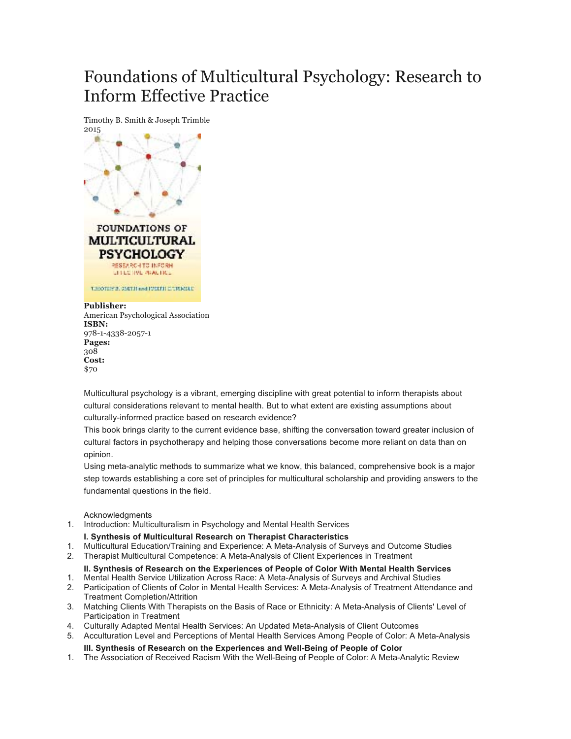# Foundations of Multicultural Psychology: Research to Inform Effective Practice



#### **Publisher:**

American Psychological Association **ISBN:** 978-1-4338-2057-1 **Pages:** 308 **Cost:** \$70

Multicultural psychology is a vibrant, emerging discipline with great potential to inform therapists about cultural considerations relevant to mental health. But to what extent are existing assumptions about culturally-informed practice based on research evidence?

This book brings clarity to the current evidence base, shifting the conversation toward greater inclusion of cultural factors in psychotherapy and helping those conversations become more reliant on data than on opinion.

Using meta-analytic methods to summarize what we know, this balanced, comprehensive book is a major step towards establishing a core set of principles for multicultural scholarship and providing answers to the fundamental questions in the field.

**Acknowledaments** 

1. Introduction: Multiculturalism in Psychology and Mental Health Services

## **I. Synthesis of Multicultural Research on Therapist Characteristics**

- 1. Multicultural Education/Training and Experience: A Meta-Analysis of Surveys and Outcome Studies
- 2. Therapist Multicultural Competence: A Meta-Analysis of Client Experiences in Treatment

## **II. Synthesis of Research on the Experiences of People of Color With Mental Health Services**

- 1. Mental Health Service Utilization Across Race: A Meta-Analysis of Surveys and Archival Studies 2. Participation of Clients of Color in Mental Health Services: A Meta-Analysis of Treatment Attendance and Treatment Completion/Attrition
- 3. Matching Clients With Therapists on the Basis of Race or Ethnicity: A Meta-Analysis of Clients' Level of Participation in Treatment
- 4. Culturally Adapted Mental Health Services: An Updated Meta-Analysis of Client Outcomes
- 5. Acculturation Level and Perceptions of Mental Health Services Among People of Color: A Meta-Analysis

#### **III. Synthesis of Research on the Experiences and Well-Being of People of Color**

1. The Association of Received Racism With the Well-Being of People of Color: A Meta-Analytic Review